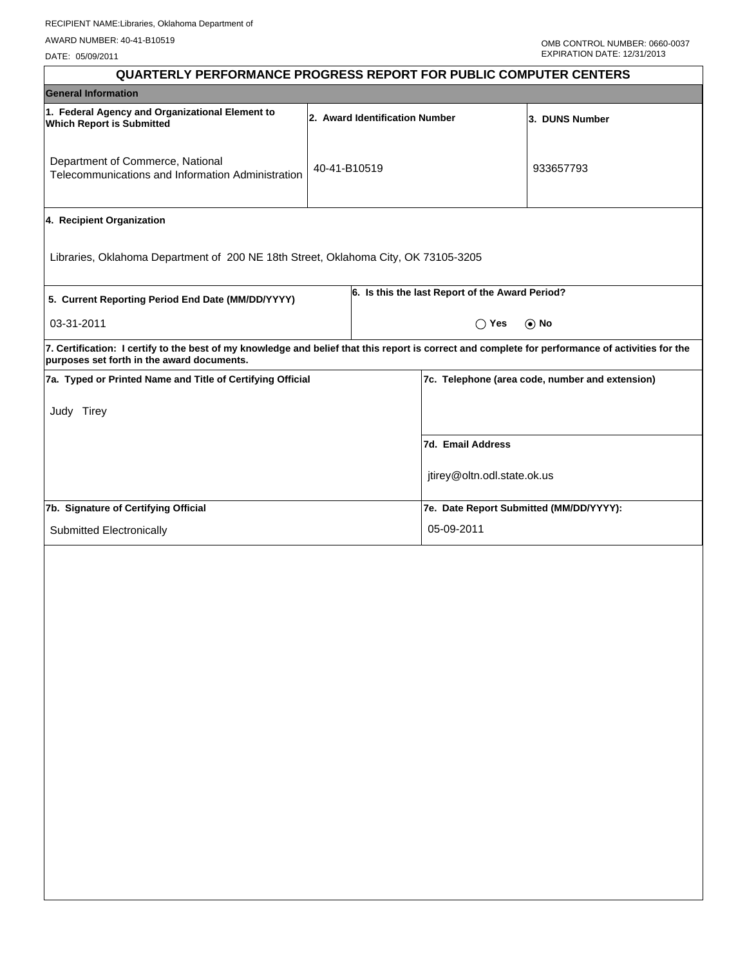| QUARTERLY PERFORMANCE PROGRESS REPORT FOR PUBLIC COMPUTER CENTERS                                                                                                                               |              |  |                                                 |                |  |  |
|-------------------------------------------------------------------------------------------------------------------------------------------------------------------------------------------------|--------------|--|-------------------------------------------------|----------------|--|--|
| <b>General Information</b>                                                                                                                                                                      |              |  |                                                 |                |  |  |
| 1. Federal Agency and Organizational Element to<br>2. Award Identification Number<br><b>Which Report is Submitted</b>                                                                           |              |  |                                                 | 3. DUNS Number |  |  |
| Department of Commerce, National<br>Telecommunications and Information Administration                                                                                                           | 40-41-B10519 |  |                                                 | 933657793      |  |  |
| 4. Recipient Organization                                                                                                                                                                       |              |  |                                                 |                |  |  |
| Libraries, Oklahoma Department of 200 NE 18th Street, Oklahoma City, OK 73105-3205                                                                                                              |              |  |                                                 |                |  |  |
| 5. Current Reporting Period End Date (MM/DD/YYYY)                                                                                                                                               |              |  | 6. Is this the last Report of the Award Period? |                |  |  |
| 03-31-2011                                                                                                                                                                                      |              |  | $\bigcirc$ Yes                                  | $\odot$ No     |  |  |
| 7. Certification: I certify to the best of my knowledge and belief that this report is correct and complete for performance of activities for the<br>purposes set forth in the award documents. |              |  |                                                 |                |  |  |
| 7a. Typed or Printed Name and Title of Certifying Official                                                                                                                                      |              |  | 7c. Telephone (area code, number and extension) |                |  |  |
| Judy Tirey                                                                                                                                                                                      |              |  |                                                 |                |  |  |
|                                                                                                                                                                                                 |              |  | 7d. Email Address                               |                |  |  |
|                                                                                                                                                                                                 |              |  | jtirey@oltn.odl.state.ok.us                     |                |  |  |
| 7b. Signature of Certifying Official                                                                                                                                                            |              |  | 7e. Date Report Submitted (MM/DD/YYYY):         |                |  |  |
| Submitted Electronically                                                                                                                                                                        |              |  | 05-09-2011                                      |                |  |  |
|                                                                                                                                                                                                 |              |  |                                                 |                |  |  |
|                                                                                                                                                                                                 |              |  |                                                 |                |  |  |
|                                                                                                                                                                                                 |              |  |                                                 |                |  |  |
|                                                                                                                                                                                                 |              |  |                                                 |                |  |  |
|                                                                                                                                                                                                 |              |  |                                                 |                |  |  |
|                                                                                                                                                                                                 |              |  |                                                 |                |  |  |
|                                                                                                                                                                                                 |              |  |                                                 |                |  |  |
|                                                                                                                                                                                                 |              |  |                                                 |                |  |  |
|                                                                                                                                                                                                 |              |  |                                                 |                |  |  |
|                                                                                                                                                                                                 |              |  |                                                 |                |  |  |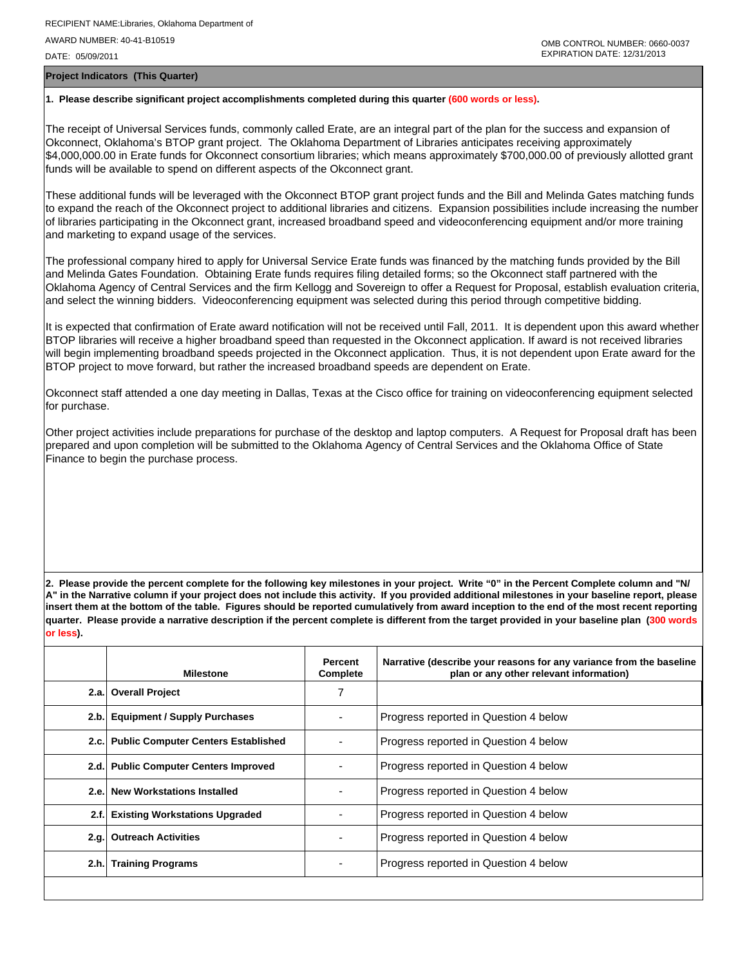**Project Indicators (This Quarter)**

## **1. Please describe significant project accomplishments completed during this quarter (600 words or less).**

The receipt of Universal Services funds, commonly called Erate, are an integral part of the plan for the success and expansion of Okconnect, Oklahoma's BTOP grant project. The Oklahoma Department of Libraries anticipates receiving approximately \$4,000,000.00 in Erate funds for Okconnect consortium libraries; which means approximately \$700,000.00 of previously allotted grant funds will be available to spend on different aspects of the Okconnect grant.

These additional funds will be leveraged with the Okconnect BTOP grant project funds and the Bill and Melinda Gates matching funds to expand the reach of the Okconnect project to additional libraries and citizens. Expansion possibilities include increasing the number of libraries participating in the Okconnect grant, increased broadband speed and videoconferencing equipment and/or more training and marketing to expand usage of the services.

The professional company hired to apply for Universal Service Erate funds was financed by the matching funds provided by the Bill and Melinda Gates Foundation. Obtaining Erate funds requires filing detailed forms; so the Okconnect staff partnered with the Oklahoma Agency of Central Services and the firm Kellogg and Sovereign to offer a Request for Proposal, establish evaluation criteria, and select the winning bidders. Videoconferencing equipment was selected during this period through competitive bidding.

It is expected that confirmation of Erate award notification will not be received until Fall, 2011. It is dependent upon this award whether BTOP libraries will receive a higher broadband speed than requested in the Okconnect application. If award is not received libraries will begin implementing broadband speeds projected in the Okconnect application. Thus, it is not dependent upon Erate award for the BTOP project to move forward, but rather the increased broadband speeds are dependent on Erate.

Okconnect staff attended a one day meeting in Dallas, Texas at the Cisco office for training on videoconferencing equipment selected for purchase.

Other project activities include preparations for purchase of the desktop and laptop computers. A Request for Proposal draft has been prepared and upon completion will be submitted to the Oklahoma Agency of Central Services and the Oklahoma Office of State Finance to begin the purchase process.

**2. Please provide the percent complete for the following key milestones in your project. Write "0" in the Percent Complete column and "N/ A" in the Narrative column if your project does not include this activity. If you provided additional milestones in your baseline report, please insert them at the bottom of the table. Figures should be reported cumulatively from award inception to the end of the most recent reporting quarter. Please provide a narrative description if the percent complete is different from the target provided in your baseline plan (300 words or less).**

|      | <b>Milestone</b>                         | <b>Percent</b><br>Complete | Narrative (describe your reasons for any variance from the baseline<br>plan or any other relevant information) |
|------|------------------------------------------|----------------------------|----------------------------------------------------------------------------------------------------------------|
|      | 2.a. Overall Project                     | 7                          |                                                                                                                |
| 2.b. | <b>Equipment / Supply Purchases</b>      |                            | Progress reported in Question 4 below                                                                          |
|      | 2.c. Public Computer Centers Established |                            | Progress reported in Question 4 below                                                                          |
|      | 2.d. Public Computer Centers Improved    |                            | Progress reported in Question 4 below                                                                          |
| 2.e. | <b>New Workstations Installed</b>        |                            | Progress reported in Question 4 below                                                                          |
| 2.f. | <b>Existing Workstations Upgraded</b>    |                            | Progress reported in Question 4 below                                                                          |
| 2.q. | <b>Outreach Activities</b>               |                            | Progress reported in Question 4 below                                                                          |
| 2.h. | <b>Training Programs</b>                 |                            | Progress reported in Question 4 below                                                                          |
|      |                                          |                            |                                                                                                                |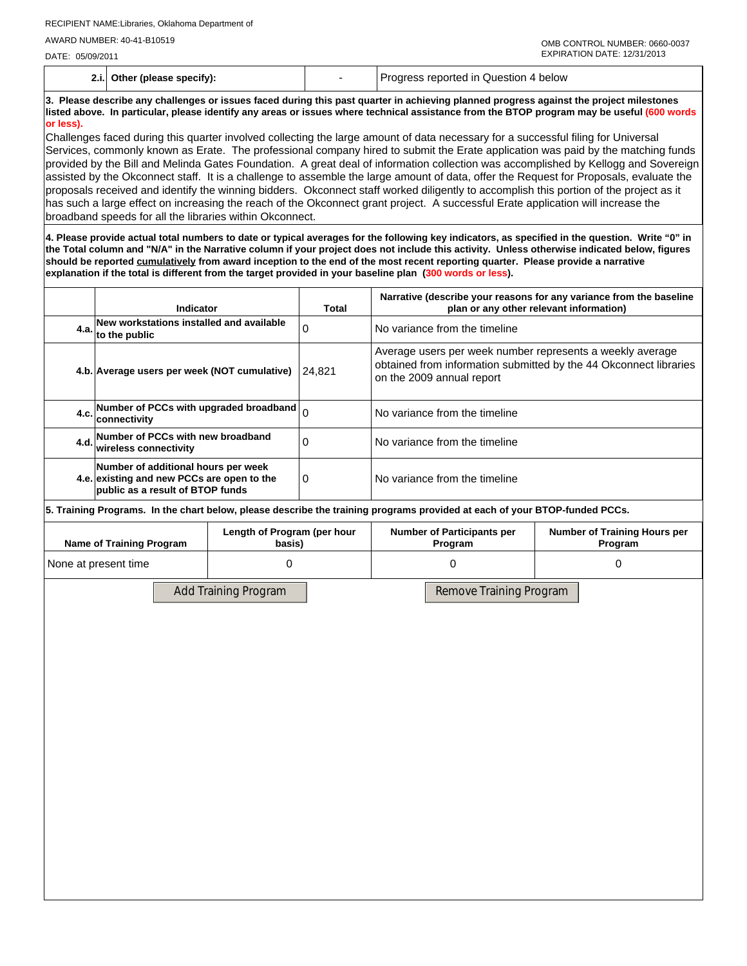**2.i. Other (please specify):** - Progress reported in Question 4 below

**3. Please describe any challenges or issues faced during this past quarter in achieving planned progress against the project milestones listed above. In particular, please identify any areas or issues where technical assistance from the BTOP program may be useful (600 words or less).**

Challenges faced during this quarter involved collecting the large amount of data necessary for a successful filing for Universal Services, commonly known as Erate. The professional company hired to submit the Erate application was paid by the matching funds provided by the Bill and Melinda Gates Foundation. A great deal of information collection was accomplished by Kellogg and Sovereign assisted by the Okconnect staff. It is a challenge to assemble the large amount of data, offer the Request for Proposals, evaluate the proposals received and identify the winning bidders. Okconnect staff worked diligently to accomplish this portion of the project as it has such a large effect on increasing the reach of the Okconnect grant project. A successful Erate application will increase the broadband speeds for all the libraries within Okconnect.

**4. Please provide actual total numbers to date or typical averages for the following key indicators, as specified in the question. Write "0" in the Total column and "N/A" in the Narrative column if your project does not include this activity. Unless otherwise indicated below, figures should be reported cumulatively from award inception to the end of the most recent reporting quarter. Please provide a narrative explanation if the total is different from the target provided in your baseline plan (300 words or less).** 

|       | Indicator                                                                                                             | Total    | Narrative (describe your reasons for any variance from the baseline<br>plan or any other relevant information)                                              |
|-------|-----------------------------------------------------------------------------------------------------------------------|----------|-------------------------------------------------------------------------------------------------------------------------------------------------------------|
| 4.a.l | New workstations installed and available<br>to the public                                                             | $\Omega$ | No variance from the timeline                                                                                                                               |
|       | 4.b. Average users per week (NOT cumulative)                                                                          | 24.821   | Average users per week number represents a weekly average<br>obtained from information submitted by the 44 Okconnect libraries<br>on the 2009 annual report |
|       | 4.c. Number of PCCs with upgraded broadband $\big _0$<br><b>connectivity</b>                                          |          | No variance from the timeline                                                                                                                               |
|       | 4.d. Number of PCCs with new broadband<br>wireless connectivitv                                                       |          | No variance from the timeline                                                                                                                               |
|       | Number of additional hours per week<br>4.e. existing and new PCCs are open to the<br>public as a result of BTOP funds | 0        | No variance from the timeline                                                                                                                               |

**5. Training Programs. In the chart below, please describe the training programs provided at each of your BTOP-funded PCCs.**

| Name of Training Program | Length of Program (per hour | <b>Number of Participants per</b> | <b>Number of Training Hours per</b> |  |  |
|--------------------------|-----------------------------|-----------------------------------|-------------------------------------|--|--|
|                          | basis)                      | Program                           | Program                             |  |  |
| None at present time     |                             |                                   |                                     |  |  |

Add Training Program Remove Training Program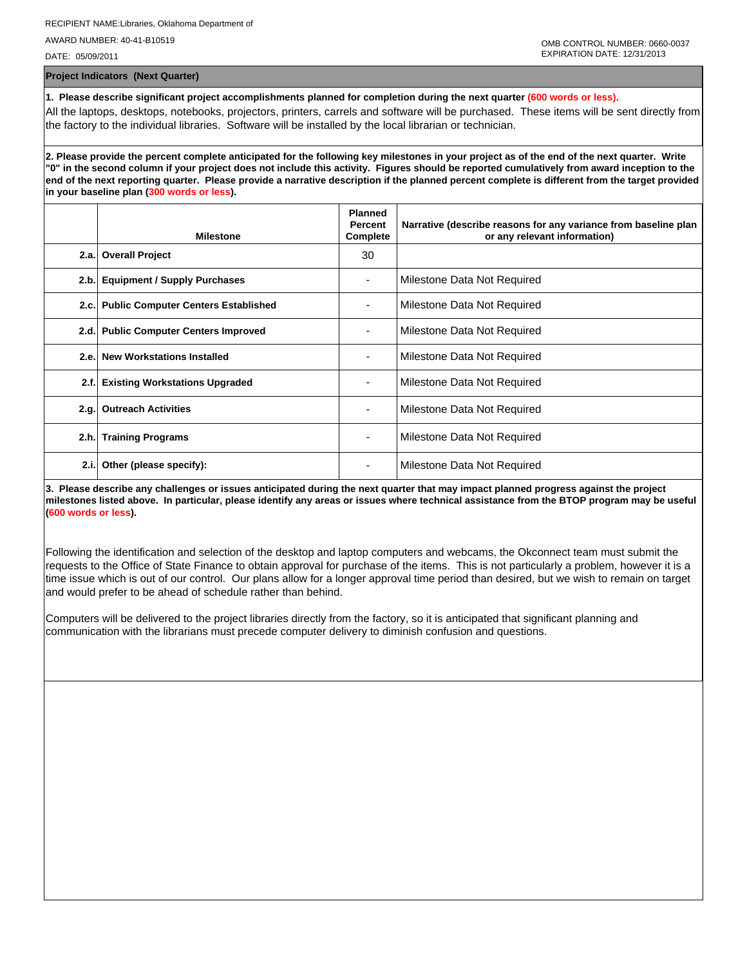**Project Indicators (Next Quarter)**

**1. Please describe significant project accomplishments planned for completion during the next quarter (600 words or less).** All the laptops, desktops, notebooks, projectors, printers, carrels and software will be purchased. These items will be sent directly from the factory to the individual libraries. Software will be installed by the local librarian or technician.

**2. Please provide the percent complete anticipated for the following key milestones in your project as of the end of the next quarter. Write "0" in the second column if your project does not include this activity. Figures should be reported cumulatively from award inception to the end of the next reporting quarter. Please provide a narrative description if the planned percent complete is different from the target provided in your baseline plan (300 words or less).**

|      | <b>Milestone</b>                           | <b>Planned</b><br><b>Percent</b><br>Complete | Narrative (describe reasons for any variance from baseline plan<br>or any relevant information) |
|------|--------------------------------------------|----------------------------------------------|-------------------------------------------------------------------------------------------------|
|      | 2.a. Overall Project                       | 30                                           |                                                                                                 |
| 2.b. | <b>Equipment / Supply Purchases</b>        |                                              | Milestone Data Not Required                                                                     |
| 2.c. | <b>Public Computer Centers Established</b> |                                              | Milestone Data Not Required                                                                     |
| 2.d. | <b>Public Computer Centers Improved</b>    |                                              | Milestone Data Not Required                                                                     |
| 2.e. | <b>New Workstations Installed</b>          |                                              | Milestone Data Not Required                                                                     |
| 2.f. | <b>Existing Workstations Upgraded</b>      |                                              | Milestone Data Not Required                                                                     |
| 2.q. | <b>Outreach Activities</b>                 | ۰                                            | Milestone Data Not Required                                                                     |
|      | 2.h. Training Programs                     | $\overline{\phantom{0}}$                     | Milestone Data Not Required                                                                     |
| 2.i. | Other (please specify):                    |                                              | Milestone Data Not Required                                                                     |

**3. Please describe any challenges or issues anticipated during the next quarter that may impact planned progress against the project milestones listed above. In particular, please identify any areas or issues where technical assistance from the BTOP program may be useful (600 words or less).**

Following the identification and selection of the desktop and laptop computers and webcams, the Okconnect team must submit the requests to the Office of State Finance to obtain approval for purchase of the items. This is not particularly a problem, however it is a time issue which is out of our control. Our plans allow for a longer approval time period than desired, but we wish to remain on target and would prefer to be ahead of schedule rather than behind.

Computers will be delivered to the project libraries directly from the factory, so it is anticipated that significant planning and communication with the librarians must precede computer delivery to diminish confusion and questions.